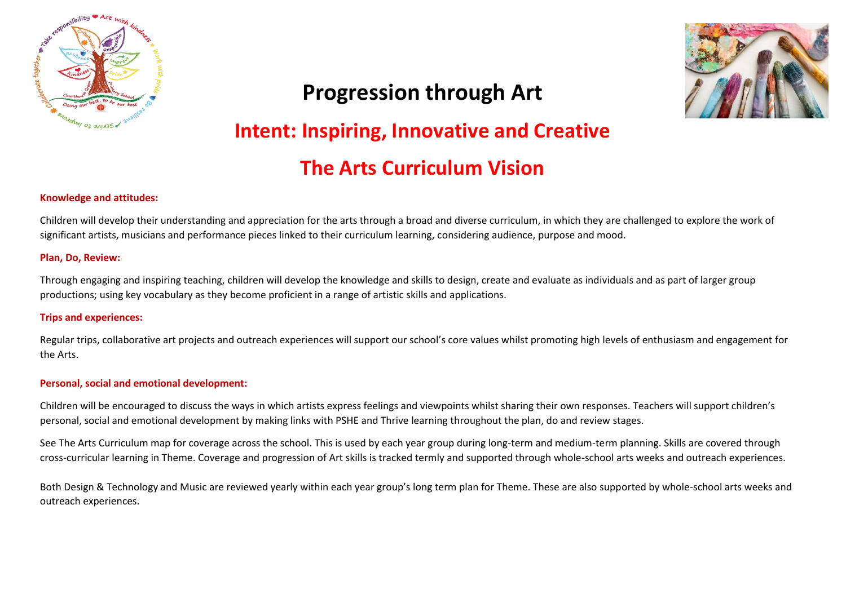

# **Progression through Art**



### **Intent: Inspiring, Innovative and Creative**

## **The Arts Curriculum Vision**

#### **Knowledge and attitudes:**

Children will develop their understanding and appreciation for the arts through a broad and diverse curriculum, in which they are challenged to explore the work of significant artists, musicians and performance pieces linked to their curriculum learning, considering audience, purpose and mood.

#### **Plan, Do, Review:**

Through engaging and inspiring teaching, children will develop the knowledge and skills to design, create and evaluate as individuals and as part of larger group productions; using key vocabulary as they become proficient in a range of artistic skills and applications.

#### **Trips and experiences:**

Regular trips, collaborative art projects and outreach experiences will support our school's core values whilst promoting high levels of enthusiasm and engagement for the Arts.

#### **Personal, social and emotional development:**

Children will be encouraged to discuss the ways in which artists express feelings and viewpoints whilst sharing their own responses. Teachers will support children's personal, social and emotional development by making links with PSHE and Thrive learning throughout the plan, do and review stages.

See The Arts Curriculum map for coverage across the school. This is used by each year group during long-term and medium-term planning. Skills are covered through cross-curricular learning in Theme. Coverage and progression of Art skills is tracked termly and supported through whole-school arts weeks and outreach experiences.

Both Design & Technology and Music are reviewed yearly within each year group's long term plan for Theme. These are also supported by whole-school arts weeks and outreach experiences.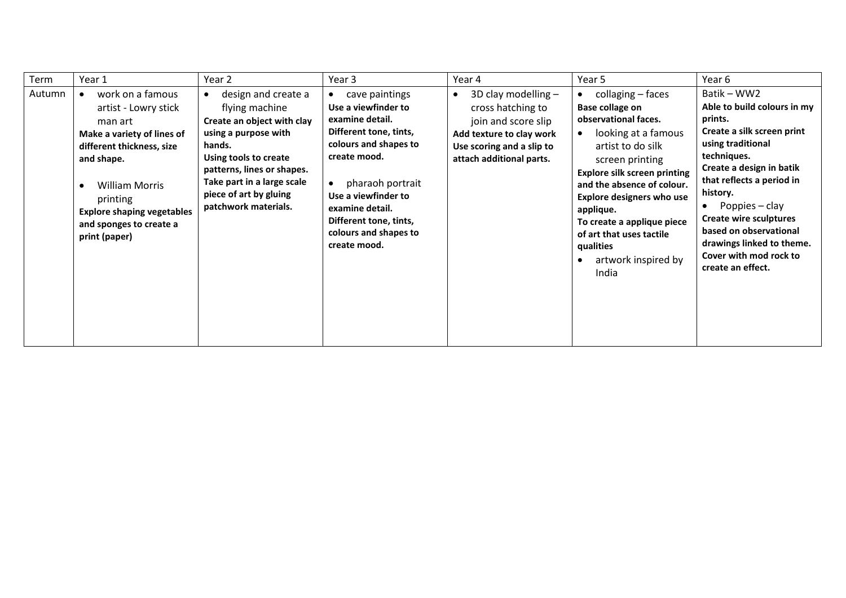| Term   | Year 1                                                                                                                                                                                                                                                          | Year <sub>2</sub>                                                                                                                                                                                                                            | Year 3                                                                                                                                                                                                                                                                                 | Year 4                                                                                                                                               | Year 5                                                                                                                                                                                                                                                                                                                                                          | Year 6                                                                                                                                                                                                                                                                                                                                                             |
|--------|-----------------------------------------------------------------------------------------------------------------------------------------------------------------------------------------------------------------------------------------------------------------|----------------------------------------------------------------------------------------------------------------------------------------------------------------------------------------------------------------------------------------------|----------------------------------------------------------------------------------------------------------------------------------------------------------------------------------------------------------------------------------------------------------------------------------------|------------------------------------------------------------------------------------------------------------------------------------------------------|-----------------------------------------------------------------------------------------------------------------------------------------------------------------------------------------------------------------------------------------------------------------------------------------------------------------------------------------------------------------|--------------------------------------------------------------------------------------------------------------------------------------------------------------------------------------------------------------------------------------------------------------------------------------------------------------------------------------------------------------------|
| Autumn | work on a famous<br>artist - Lowry stick<br>man art<br>Make a variety of lines of<br>different thickness, size<br>and shape.<br><b>William Morris</b><br>$\bullet$<br>printing<br><b>Explore shaping vegetables</b><br>and sponges to create a<br>print (paper) | design and create a<br>flying machine<br>Create an object with clay<br>using a purpose with<br>hands.<br>Using tools to create<br>patterns, lines or shapes.<br>Take part in a large scale<br>piece of art by gluing<br>patchwork materials. | cave paintings<br>$\bullet$<br>Use a viewfinder to<br>examine detail.<br>Different tone, tints,<br>colours and shapes to<br>create mood.<br>pharaoh portrait<br>$\bullet$<br>Use a viewfinder to<br>examine detail.<br>Different tone, tints,<br>colours and shapes to<br>create mood. | 3D clay modelling -<br>cross hatching to<br>join and score slip<br>Add texture to clay work<br>Use scoring and a slip to<br>attach additional parts. | collaging - faces<br><b>Base collage on</b><br>observational faces.<br>looking at a famous<br>artist to do silk<br>screen printing<br><b>Explore silk screen printing</b><br>and the absence of colour.<br><b>Explore designers who use</b><br>applique.<br>To create a applique piece<br>of art that uses tactile<br>qualities<br>artwork inspired by<br>India | Batik – WW2<br>Able to build colours in my<br>prints.<br>Create a silk screen print<br>using traditional<br>techniques.<br>Create a design in batik<br>that reflects a period in<br>history.<br>Poppies – clay<br>$\bullet$<br><b>Create wire sculptures</b><br>based on observational<br>drawings linked to theme.<br>Cover with mod rock to<br>create an effect. |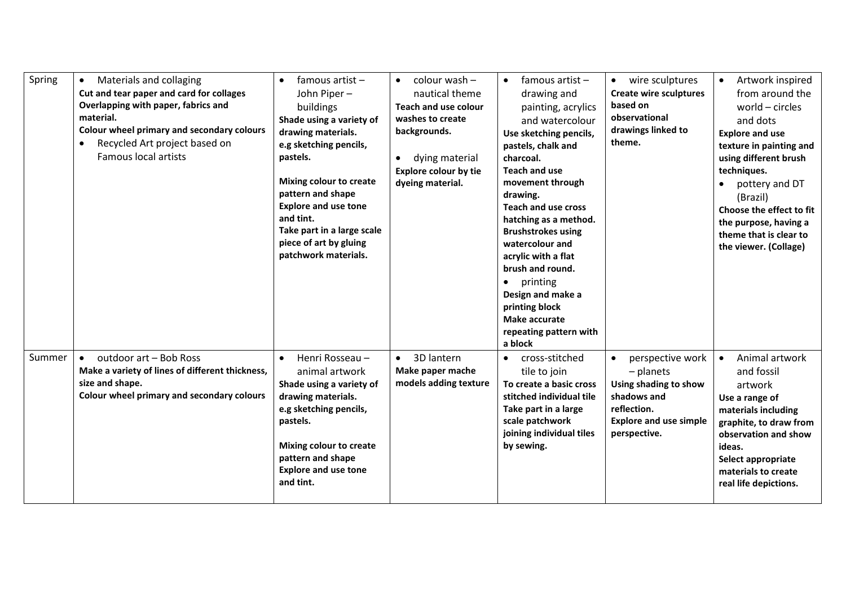| Spring | Materials and collaging<br>$\bullet$<br>Cut and tear paper and card for collages<br>Overlapping with paper, fabrics and<br>material.<br>Colour wheel primary and secondary colours<br>Recycled Art project based on<br>$\bullet$<br>Famous local artists | famous artist-<br>$\bullet$<br>John Piper-<br>buildings<br>Shade using a variety of<br>drawing materials.<br>e.g sketching pencils,<br>pastels.<br>Mixing colour to create<br>pattern and shape<br><b>Explore and use tone</b><br>and tint.<br>Take part in a large scale<br>piece of art by gluing<br>patchwork materials. | colour wash -<br>$\bullet$<br>nautical theme<br><b>Teach and use colour</b><br>washes to create<br>backgrounds.<br>dying material<br>$\bullet$<br><b>Explore colour by tie</b><br>dyeing material. | famous artist $-$<br>drawing and<br>painting, acrylics<br>and watercolour<br>Use sketching pencils,<br>pastels, chalk and<br>charcoal.<br><b>Teach and use</b><br>movement through<br>drawing.<br><b>Teach and use cross</b><br>hatching as a method.<br><b>Brushstrokes using</b><br>watercolour and<br>acrylic with a flat<br>brush and round.<br>printing<br>$\bullet$<br>Design and make a<br>printing block<br><b>Make accurate</b><br>repeating pattern with<br>a block | wire sculptures<br>$\bullet$<br><b>Create wire sculptures</b><br>based on<br>observational<br>drawings linked to<br>theme.            | Artwork inspired<br>$\bullet$<br>from around the<br>world - circles<br>and dots<br><b>Explore and use</b><br>texture in painting and<br>using different brush<br>techniques.<br>pottery and DT<br>$\bullet$<br>(Brazil)<br>Choose the effect to fit<br>the purpose, having a<br>theme that is clear to<br>the viewer. (Collage) |
|--------|----------------------------------------------------------------------------------------------------------------------------------------------------------------------------------------------------------------------------------------------------------|-----------------------------------------------------------------------------------------------------------------------------------------------------------------------------------------------------------------------------------------------------------------------------------------------------------------------------|----------------------------------------------------------------------------------------------------------------------------------------------------------------------------------------------------|-------------------------------------------------------------------------------------------------------------------------------------------------------------------------------------------------------------------------------------------------------------------------------------------------------------------------------------------------------------------------------------------------------------------------------------------------------------------------------|---------------------------------------------------------------------------------------------------------------------------------------|---------------------------------------------------------------------------------------------------------------------------------------------------------------------------------------------------------------------------------------------------------------------------------------------------------------------------------|
| Summer | outdoor art - Bob Ross<br>$\bullet$<br>Make a variety of lines of different thickness,<br>size and shape.<br>Colour wheel primary and secondary colours                                                                                                  | Henri Rosseau -<br>$\bullet$<br>animal artwork<br>Shade using a variety of<br>drawing materials.<br>e.g sketching pencils,<br>pastels.<br><b>Mixing colour to create</b><br>pattern and shape<br><b>Explore and use tone</b><br>and tint.                                                                                   | 3D lantern<br>$\bullet$<br>Make paper mache<br>models adding texture                                                                                                                               | cross-stitched<br>$\bullet$<br>tile to join<br>To create a basic cross<br>stitched individual tile<br>Take part in a large<br>scale patchwork<br>joining individual tiles<br>by sewing.                                                                                                                                                                                                                                                                                       | perspective work<br>- planets<br>Using shading to show<br>shadows and<br>reflection.<br><b>Explore and use simple</b><br>perspective. | Animal artwork<br>$\bullet$<br>and fossil<br>artwork<br>Use a range of<br>materials including<br>graphite, to draw from<br>observation and show<br>ideas.<br>Select appropriate<br>materials to create<br>real life depictions.                                                                                                 |